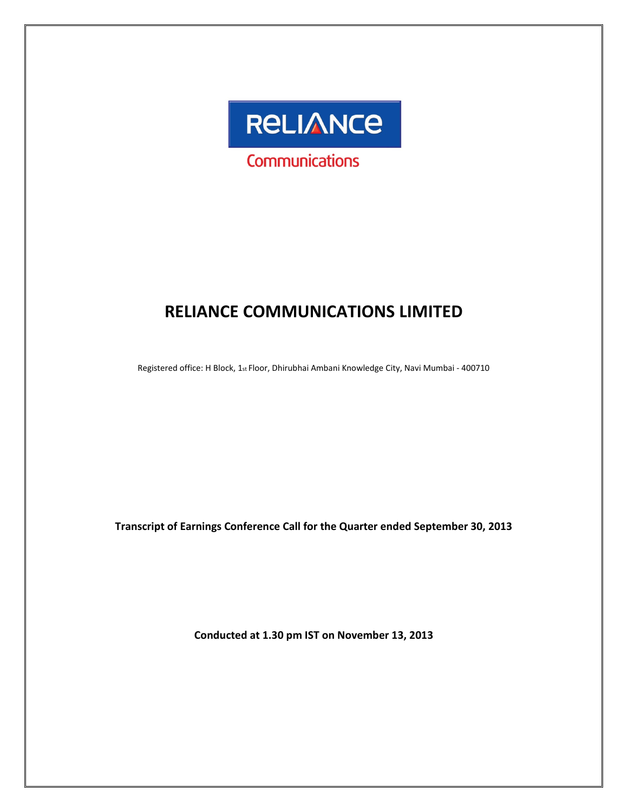

# RELIANCE COMMUNICATIONS LIMITED

Registered office: H Block, 1st Floor, Dhirubhai Ambani Knowledge City, Navi Mumbai - 400710

Transcript of Earnings Conference Call for the Quarter ended September 30, 2013

Conducted at 1.30 pm IST on November 13, 2013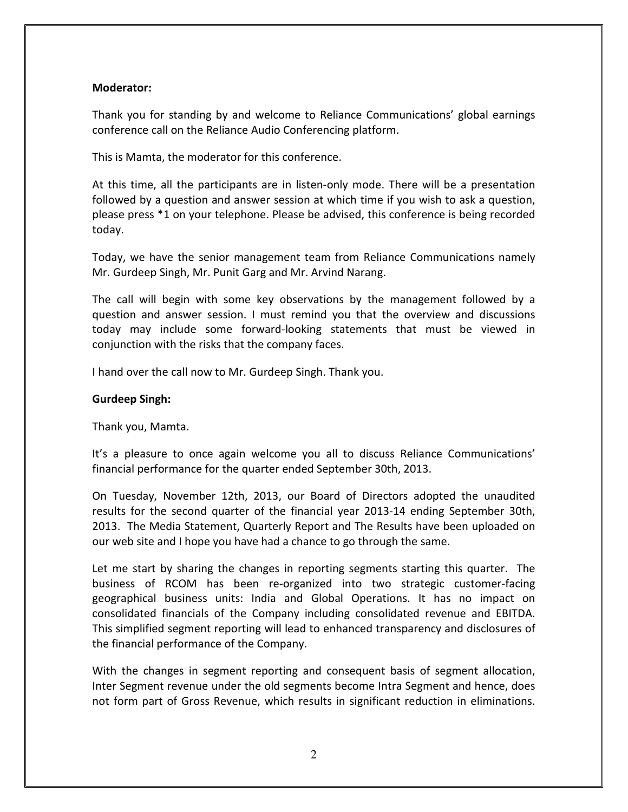# Moderator:

Thank you for standing by and welcome to Reliance Communications' global earnings conference call on the Reliance Audio Conferencing platform.

This is Mamta, the moderator for this conference.

At this time, all the participants are in listen-only mode. There will be a presentation followed by a question and answer session at which time if you wish to ask a question, please press \*1 on your telephone. Please be advised, this conference is being recorded today.

Today, we have the senior management team from Reliance Communications namely Mr. Gurdeep Singh, Mr. Punit Garg and Mr. Arvind Narang.

The call will begin with some key observations by the management followed by a question and answer session. I must remind you that the overview and discussions today may include some forward-looking statements that must be viewed in conjunction with the risks that the company faces.

I hand over the call now to Mr. Gurdeep Singh. Thank you.

# Gurdeep Singh:

Thank you, Mamta.

It's a pleasure to once again welcome you all to discuss Reliance Communications' financial performance for the quarter ended September 30th, 2013.

On Tuesday, November 12th, 2013, our Board of Directors adopted the unaudited results for the second quarter of the financial year 2013-14 ending September 30th, 2013. The Media Statement, Quarterly Report and The Results have been uploaded on our web site and I hope you have had a chance to go through the same.

Let me start by sharing the changes in reporting segments starting this quarter. The business of RCOM has been re-organized into two strategic customer-facing geographical business units: India and Global Operations. It has no impact on consolidated financials of the Company including consolidated revenue and EBITDA. This simplified segment reporting will lead to enhanced transparency and disclosures of the financial performance of the Company.

With the changes in segment reporting and consequent basis of segment allocation, Inter Segment revenue under the old segments become Intra Segment and hence, does not form part of Gross Revenue, which results in significant reduction in eliminations.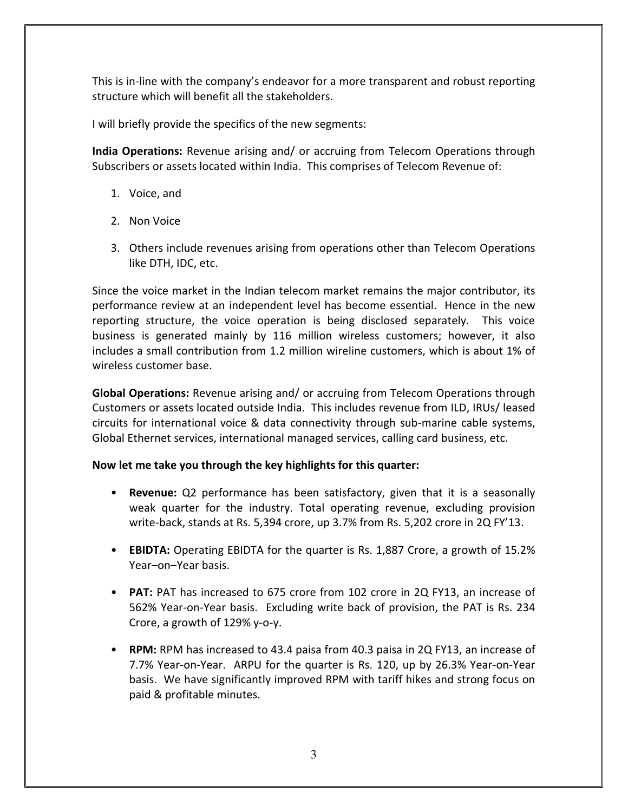This is in-line with the company's endeavor for a more transparent and robust reporting structure which will benefit all the stakeholders.

I will briefly provide the specifics of the new segments:

India Operations: Revenue arising and/ or accruing from Telecom Operations through Subscribers or assets located within India. This comprises of Telecom Revenue of:

- 1. Voice, and
- 2. Non Voice
- 3. Others include revenues arising from operations other than Telecom Operations like DTH, IDC, etc.

Since the voice market in the Indian telecom market remains the major contributor, its performance review at an independent level has become essential. Hence in the new reporting structure, the voice operation is being disclosed separately. This voice business is generated mainly by 116 million wireless customers; however, it also includes a small contribution from 1.2 million wireline customers, which is about 1% of wireless customer base.

Global Operations: Revenue arising and/ or accruing from Telecom Operations through Customers or assets located outside India. This includes revenue from ILD, IRUs/ leased circuits for international voice & data connectivity through sub-marine cable systems, Global Ethernet services, international managed services, calling card business, etc.

# Now let me take you through the key highlights for this quarter:

- Revenue: Q2 performance has been satisfactory, given that it is a seasonally weak quarter for the industry. Total operating revenue, excluding provision write-back, stands at Rs. 5,394 crore, up 3.7% from Rs. 5,202 crore in 2Q FY'13.
- EBIDTA: Operating EBIDTA for the quarter is Rs. 1,887 Crore, a growth of 15.2% Year–on–Year basis.
- PAT: PAT has increased to 675 crore from 102 crore in 2Q FY13, an increase of 562% Year-on-Year basis. Excluding write back of provision, the PAT is Rs. 234 Crore, a growth of 129% y-o-y.
- RPM: RPM has increased to 43.4 paisa from 40.3 paisa in 2Q FY13, an increase of 7.7% Year-on-Year. ARPU for the quarter is Rs. 120, up by 26.3% Year-on-Year basis. We have significantly improved RPM with tariff hikes and strong focus on paid & profitable minutes.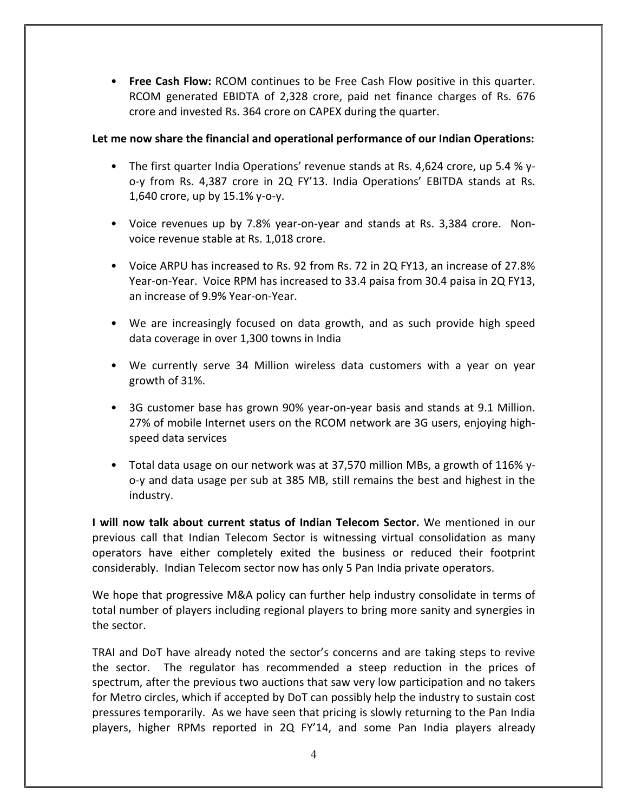• Free Cash Flow: RCOM continues to be Free Cash Flow positive in this quarter. RCOM generated EBIDTA of 2,328 crore, paid net finance charges of Rs. 676 crore and invested Rs. 364 crore on CAPEX during the quarter.

# Let me now share the financial and operational performance of our Indian Operations:

- The first quarter India Operations' revenue stands at Rs. 4,624 crore, up 5.4 % yo-y from Rs. 4,387 crore in 2Q FY'13. India Operations' EBITDA stands at Rs. 1,640 crore, up by 15.1% y-o-y.
- Voice revenues up by 7.8% year-on-year and stands at Rs. 3,384 crore. Nonvoice revenue stable at Rs. 1,018 crore.
- Voice ARPU has increased to Rs. 92 from Rs. 72 in 2Q FY13, an increase of 27.8% Year-on-Year. Voice RPM has increased to 33.4 paisa from 30.4 paisa in 2Q FY13, an increase of 9.9% Year-on-Year.
- We are increasingly focused on data growth, and as such provide high speed data coverage in over 1,300 towns in India
- We currently serve 34 Million wireless data customers with a year on year growth of 31%.
- 3G customer base has grown 90% year-on-year basis and stands at 9.1 Million. 27% of mobile Internet users on the RCOM network are 3G users, enjoying highspeed data services
- Total data usage on our network was at 37,570 million MBs, a growth of 116% yo-y and data usage per sub at 385 MB, still remains the best and highest in the industry.

I will now talk about current status of Indian Telecom Sector. We mentioned in our previous call that Indian Telecom Sector is witnessing virtual consolidation as many operators have either completely exited the business or reduced their footprint considerably. Indian Telecom sector now has only 5 Pan India private operators.

We hope that progressive M&A policy can further help industry consolidate in terms of total number of players including regional players to bring more sanity and synergies in the sector.

TRAI and DoT have already noted the sector's concerns and are taking steps to revive the sector. The regulator has recommended a steep reduction in the prices of spectrum, after the previous two auctions that saw very low participation and no takers for Metro circles, which if accepted by DoT can possibly help the industry to sustain cost pressures temporarily. As we have seen that pricing is slowly returning to the Pan India players, higher RPMs reported in 2Q FY'14, and some Pan India players already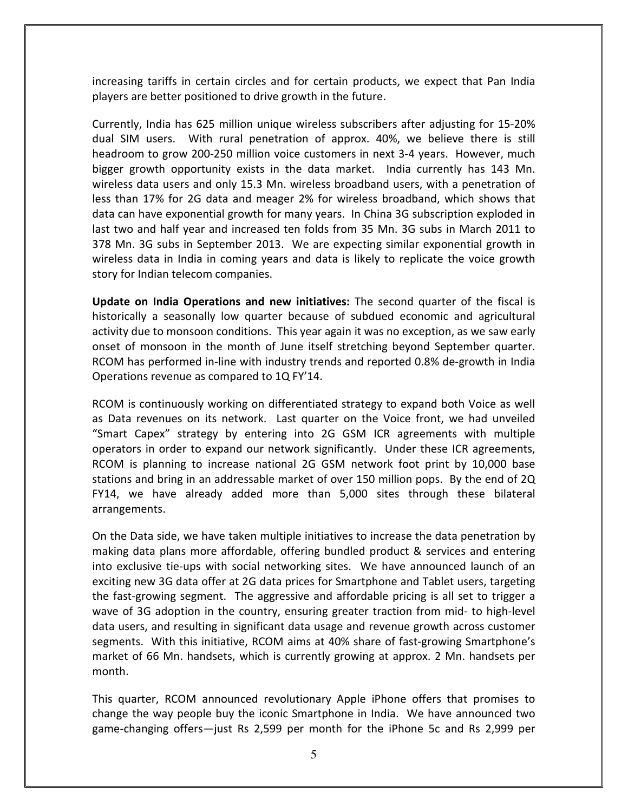increasing tariffs in certain circles and for certain products, we expect that Pan India players are better positioned to drive growth in the future.

Currently, India has 625 million unique wireless subscribers after adjusting for 15-20% dual SIM users. With rural penetration of approx. 40%, we believe there is still headroom to grow 200-250 million voice customers in next 3-4 years. However, much bigger growth opportunity exists in the data market. India currently has 143 Mn. wireless data users and only 15.3 Mn. wireless broadband users, with a penetration of less than 17% for 2G data and meager 2% for wireless broadband, which shows that data can have exponential growth for many years. In China 3G subscription exploded in last two and half year and increased ten folds from 35 Mn. 3G subs in March 2011 to 378 Mn. 3G subs in September 2013. We are expecting similar exponential growth in wireless data in India in coming years and data is likely to replicate the voice growth story for Indian telecom companies.

Update on India Operations and new initiatives: The second quarter of the fiscal is historically a seasonally low quarter because of subdued economic and agricultural activity due to monsoon conditions. This year again it was no exception, as we saw early onset of monsoon in the month of June itself stretching beyond September quarter. RCOM has performed in-line with industry trends and reported 0.8% de-growth in India Operations revenue as compared to 1Q FY'14.

RCOM is continuously working on differentiated strategy to expand both Voice as well as Data revenues on its network. Last quarter on the Voice front, we had unveiled "Smart Capex" strategy by entering into 2G GSM ICR agreements with multiple operators in order to expand our network significantly. Under these ICR agreements, RCOM is planning to increase national 2G GSM network foot print by 10,000 base stations and bring in an addressable market of over 150 million pops. By the end of 2Q FY14, we have already added more than 5,000 sites through these bilateral arrangements.

On the Data side, we have taken multiple initiatives to increase the data penetration by making data plans more affordable, offering bundled product & services and entering into exclusive tie-ups with social networking sites. We have announced launch of an exciting new 3G data offer at 2G data prices for Smartphone and Tablet users, targeting the fast-growing segment. The aggressive and affordable pricing is all set to trigger a wave of 3G adoption in the country, ensuring greater traction from mid- to high-level data users, and resulting in significant data usage and revenue growth across customer segments. With this initiative, RCOM aims at 40% share of fast-growing Smartphone's market of 66 Mn. handsets, which is currently growing at approx. 2 Mn. handsets per month.

This quarter, RCOM announced revolutionary Apple iPhone offers that promises to change the way people buy the iconic Smartphone in India. We have announced two game-changing offers—just Rs 2,599 per month for the iPhone 5c and Rs 2,999 per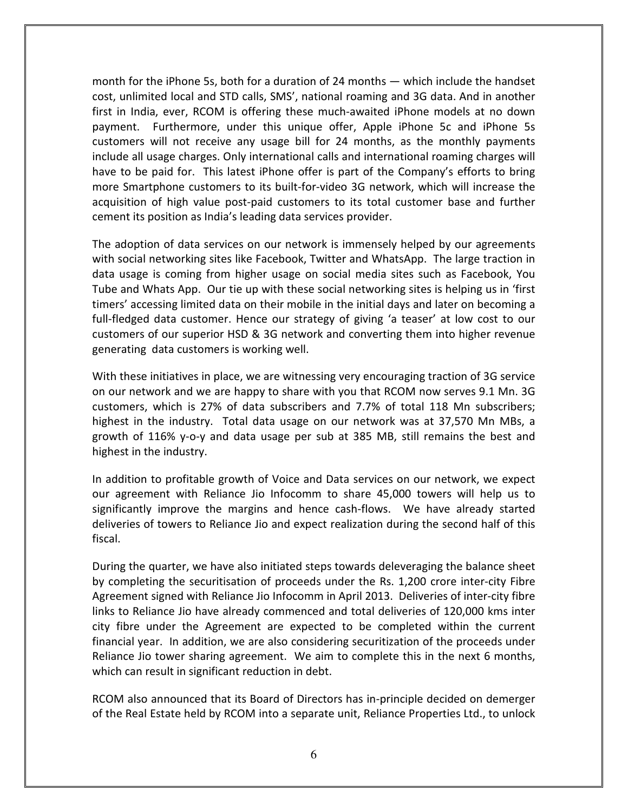month for the iPhone 5s, both for a duration of 24 months — which include the handset cost, unlimited local and STD calls, SMS', national roaming and 3G data. And in another first in India, ever, RCOM is offering these much-awaited iPhone models at no down payment. Furthermore, under this unique offer, Apple iPhone 5c and iPhone 5s customers will not receive any usage bill for 24 months, as the monthly payments include all usage charges. Only international calls and international roaming charges will have to be paid for. This latest iPhone offer is part of the Company's efforts to bring more Smartphone customers to its built-for-video 3G network, which will increase the acquisition of high value post-paid customers to its total customer base and further cement its position as India's leading data services provider.

The adoption of data services on our network is immensely helped by our agreements with social networking sites like Facebook, Twitter and WhatsApp. The large traction in data usage is coming from higher usage on social media sites such as Facebook, You Tube and Whats App. Our tie up with these social networking sites is helping us in 'first timers' accessing limited data on their mobile in the initial days and later on becoming a full-fledged data customer. Hence our strategy of giving 'a teaser' at low cost to our customers of our superior HSD & 3G network and converting them into higher revenue generating data customers is working well.

With these initiatives in place, we are witnessing very encouraging traction of 3G service on our network and we are happy to share with you that RCOM now serves 9.1 Mn. 3G customers, which is 27% of data subscribers and 7.7% of total 118 Mn subscribers; highest in the industry. Total data usage on our network was at 37,570 Mn MBs, a growth of 116% y-o-y and data usage per sub at 385 MB, still remains the best and highest in the industry.

In addition to profitable growth of Voice and Data services on our network, we expect our agreement with Reliance Jio Infocomm to share 45,000 towers will help us to significantly improve the margins and hence cash-flows. We have already started deliveries of towers to Reliance Jio and expect realization during the second half of this fiscal.

During the quarter, we have also initiated steps towards deleveraging the balance sheet by completing the securitisation of proceeds under the Rs. 1,200 crore inter-city Fibre Agreement signed with Reliance Jio Infocomm in April 2013. Deliveries of inter-city fibre links to Reliance Jio have already commenced and total deliveries of 120,000 kms inter city fibre under the Agreement are expected to be completed within the current financial year. In addition, we are also considering securitization of the proceeds under Reliance Jio tower sharing agreement. We aim to complete this in the next 6 months, which can result in significant reduction in debt.

RCOM also announced that its Board of Directors has in-principle decided on demerger of the Real Estate held by RCOM into a separate unit, Reliance Properties Ltd., to unlock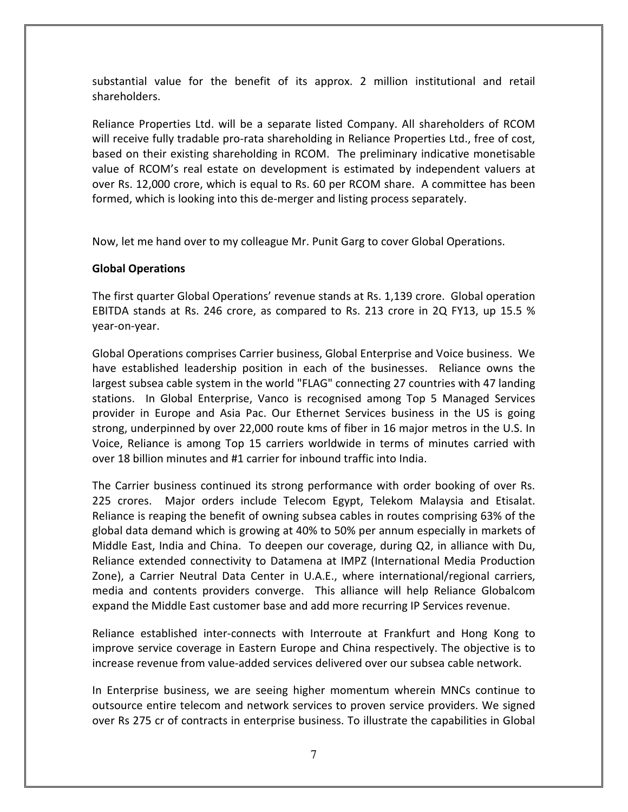substantial value for the benefit of its approx. 2 million institutional and retail shareholders.

Reliance Properties Ltd. will be a separate listed Company. All shareholders of RCOM will receive fully tradable pro-rata shareholding in Reliance Properties Ltd., free of cost, based on their existing shareholding in RCOM. The preliminary indicative monetisable value of RCOM's real estate on development is estimated by independent valuers at over Rs. 12,000 crore, which is equal to Rs. 60 per RCOM share. A committee has been formed, which is looking into this de-merger and listing process separately.

Now, let me hand over to my colleague Mr. Punit Garg to cover Global Operations.

# Global Operations

The first quarter Global Operations' revenue stands at Rs. 1,139 crore. Global operation EBITDA stands at Rs. 246 crore, as compared to Rs. 213 crore in 2Q FY13, up 15.5 % year-on-year.

Global Operations comprises Carrier business, Global Enterprise and Voice business. We have established leadership position in each of the businesses. Reliance owns the largest subsea cable system in the world "FLAG" connecting 27 countries with 47 landing stations. In Global Enterprise, Vanco is recognised among Top 5 Managed Services provider in Europe and Asia Pac. Our Ethernet Services business in the US is going strong, underpinned by over 22,000 route kms of fiber in 16 major metros in the U.S. In Voice, Reliance is among Top 15 carriers worldwide in terms of minutes carried with over 18 billion minutes and #1 carrier for inbound traffic into India.

The Carrier business continued its strong performance with order booking of over Rs. 225 crores. Major orders include Telecom Egypt, Telekom Malaysia and Etisalat. Reliance is reaping the benefit of owning subsea cables in routes comprising 63% of the global data demand which is growing at 40% to 50% per annum especially in markets of Middle East, India and China. To deepen our coverage, during Q2, in alliance with Du, Reliance extended connectivity to Datamena at IMPZ (International Media Production Zone), a Carrier Neutral Data Center in U.A.E., where international/regional carriers, media and contents providers converge. This alliance will help Reliance Globalcom expand the Middle East customer base and add more recurring IP Services revenue.

Reliance established inter-connects with Interroute at Frankfurt and Hong Kong to improve service coverage in Eastern Europe and China respectively. The objective is to increase revenue from value-added services delivered over our subsea cable network.

In Enterprise business, we are seeing higher momentum wherein MNCs continue to outsource entire telecom and network services to proven service providers. We signed over Rs 275 cr of contracts in enterprise business. To illustrate the capabilities in Global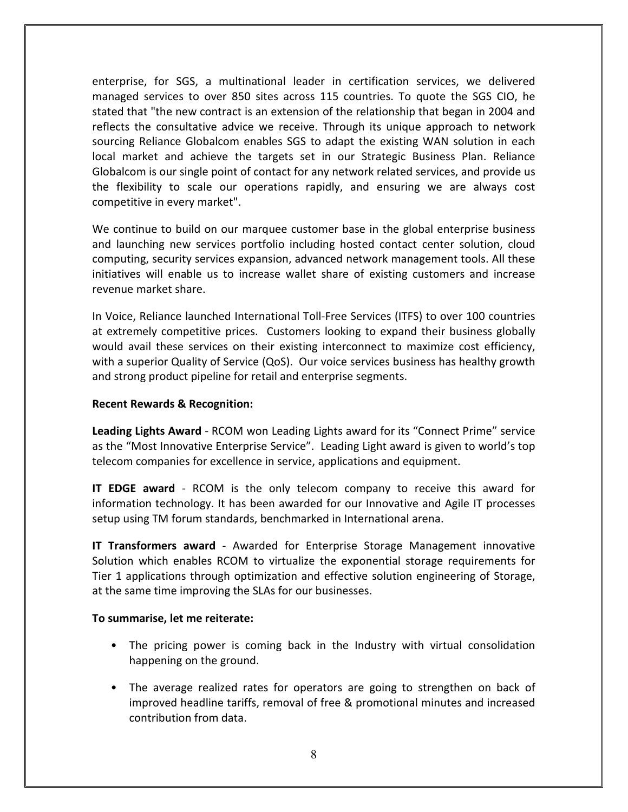enterprise, for SGS, a multinational leader in certification services, we delivered managed services to over 850 sites across 115 countries. To quote the SGS CIO, he stated that "the new contract is an extension of the relationship that began in 2004 and reflects the consultative advice we receive. Through its unique approach to network sourcing Reliance Globalcom enables SGS to adapt the existing WAN solution in each local market and achieve the targets set in our Strategic Business Plan. Reliance Globalcom is our single point of contact for any network related services, and provide us the flexibility to scale our operations rapidly, and ensuring we are always cost competitive in every market".

We continue to build on our marquee customer base in the global enterprise business and launching new services portfolio including hosted contact center solution, cloud computing, security services expansion, advanced network management tools. All these initiatives will enable us to increase wallet share of existing customers and increase revenue market share.

In Voice, Reliance launched International Toll-Free Services (ITFS) to over 100 countries at extremely competitive prices. Customers looking to expand their business globally would avail these services on their existing interconnect to maximize cost efficiency, with a superior Quality of Service (QoS). Our voice services business has healthy growth and strong product pipeline for retail and enterprise segments.

# Recent Rewards & Recognition:

Leading Lights Award - RCOM won Leading Lights award for its "Connect Prime" service as the "Most Innovative Enterprise Service". Leading Light award is given to world's top telecom companies for excellence in service, applications and equipment.

IT EDGE award - RCOM is the only telecom company to receive this award for information technology. It has been awarded for our Innovative and Agile IT processes setup using TM forum standards, benchmarked in International arena.

**IT Transformers award** - Awarded for Enterprise Storage Management innovative Solution which enables RCOM to virtualize the exponential storage requirements for Tier 1 applications through optimization and effective solution engineering of Storage, at the same time improving the SLAs for our businesses.

# To summarise, let me reiterate:

- The pricing power is coming back in the Industry with virtual consolidation happening on the ground.
- The average realized rates for operators are going to strengthen on back of improved headline tariffs, removal of free & promotional minutes and increased contribution from data.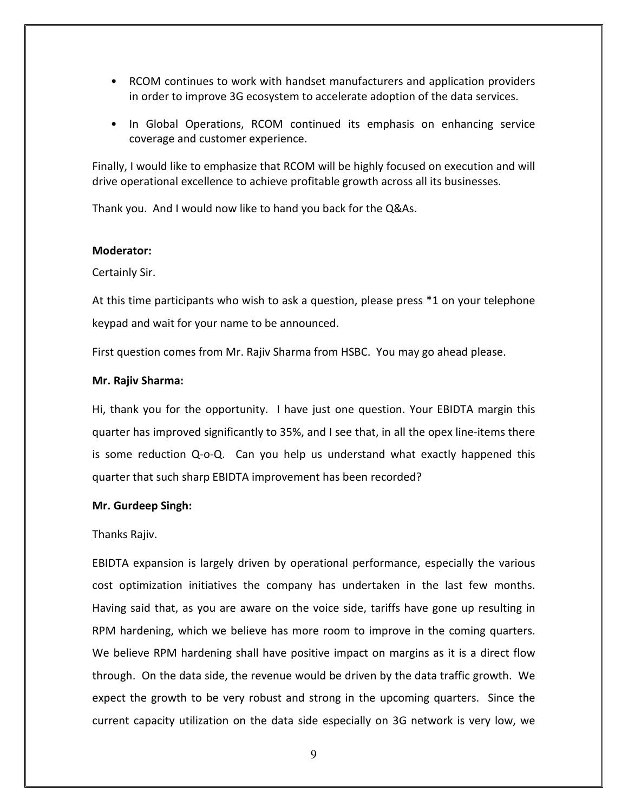- RCOM continues to work with handset manufacturers and application providers in order to improve 3G ecosystem to accelerate adoption of the data services.
- In Global Operations, RCOM continued its emphasis on enhancing service coverage and customer experience.

Finally, I would like to emphasize that RCOM will be highly focused on execution and will drive operational excellence to achieve profitable growth across all its businesses.

Thank you. And I would now like to hand you back for the Q&As.

## Moderator:

Certainly Sir.

At this time participants who wish to ask a question, please press \*1 on your telephone keypad and wait for your name to be announced.

First question comes from Mr. Rajiv Sharma from HSBC. You may go ahead please.

## Mr. Rajiv Sharma:

Hi, thank you for the opportunity. I have just one question. Your EBIDTA margin this quarter has improved significantly to 35%, and I see that, in all the opex line-items there is some reduction Q-o-Q. Can you help us understand what exactly happened this quarter that such sharp EBIDTA improvement has been recorded?

## Mr. Gurdeep Singh:

## Thanks Rajiv.

EBIDTA expansion is largely driven by operational performance, especially the various cost optimization initiatives the company has undertaken in the last few months. Having said that, as you are aware on the voice side, tariffs have gone up resulting in RPM hardening, which we believe has more room to improve in the coming quarters. We believe RPM hardening shall have positive impact on margins as it is a direct flow through. On the data side, the revenue would be driven by the data traffic growth. We expect the growth to be very robust and strong in the upcoming quarters. Since the current capacity utilization on the data side especially on 3G network is very low, we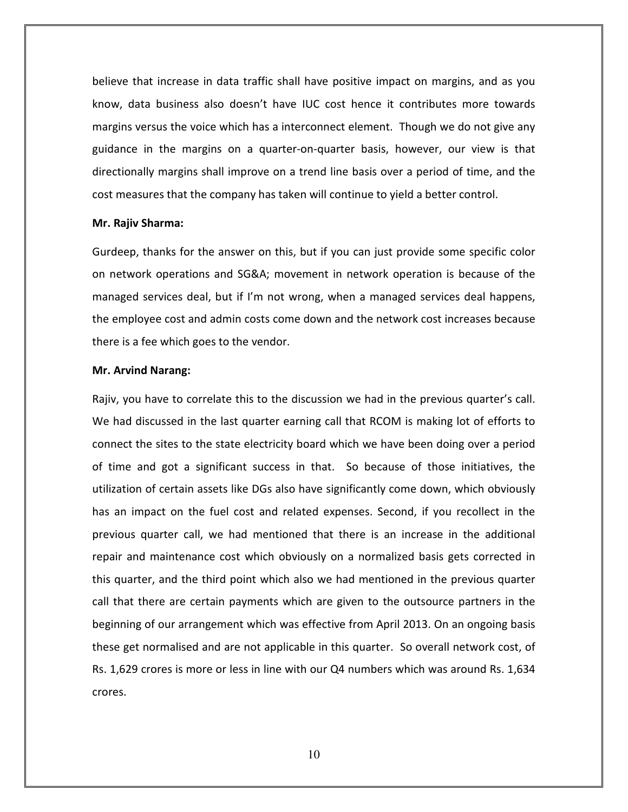believe that increase in data traffic shall have positive impact on margins, and as you know, data business also doesn't have IUC cost hence it contributes more towards margins versus the voice which has a interconnect element. Though we do not give any guidance in the margins on a quarter-on-quarter basis, however, our view is that directionally margins shall improve on a trend line basis over a period of time, and the cost measures that the company has taken will continue to yield a better control.

#### Mr. Rajiv Sharma:

Gurdeep, thanks for the answer on this, but if you can just provide some specific color on network operations and SG&A; movement in network operation is because of the managed services deal, but if I'm not wrong, when a managed services deal happens, the employee cost and admin costs come down and the network cost increases because there is a fee which goes to the vendor.

#### Mr. Arvind Narang:

Rajiv, you have to correlate this to the discussion we had in the previous quarter's call. We had discussed in the last quarter earning call that RCOM is making lot of efforts to connect the sites to the state electricity board which we have been doing over a period of time and got a significant success in that. So because of those initiatives, the utilization of certain assets like DGs also have significantly come down, which obviously has an impact on the fuel cost and related expenses. Second, if you recollect in the previous quarter call, we had mentioned that there is an increase in the additional repair and maintenance cost which obviously on a normalized basis gets corrected in this quarter, and the third point which also we had mentioned in the previous quarter call that there are certain payments which are given to the outsource partners in the beginning of our arrangement which was effective from April 2013. On an ongoing basis these get normalised and are not applicable in this quarter. So overall network cost, of Rs. 1,629 crores is more or less in line with our Q4 numbers which was around Rs. 1,634 crores.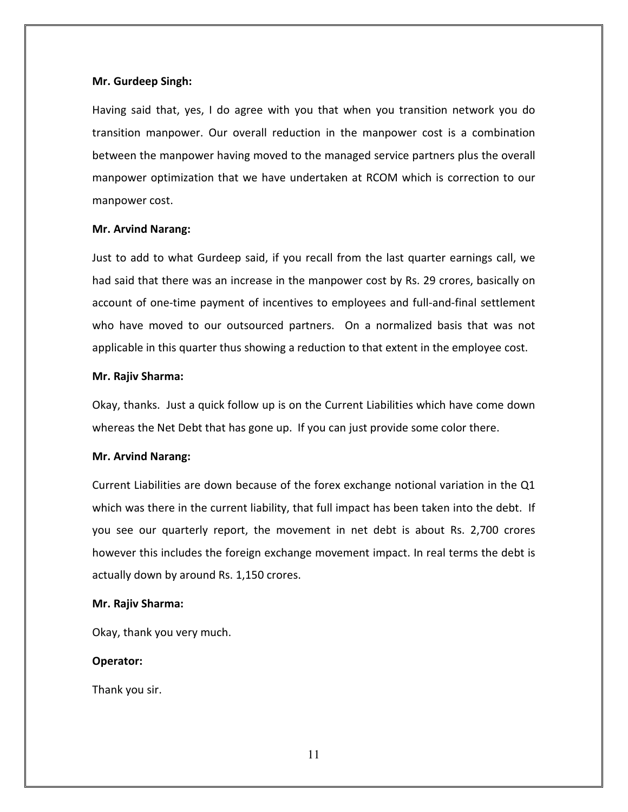## Mr. Gurdeep Singh:

Having said that, yes, I do agree with you that when you transition network you do transition manpower. Our overall reduction in the manpower cost is a combination between the manpower having moved to the managed service partners plus the overall manpower optimization that we have undertaken at RCOM which is correction to our manpower cost.

#### Mr. Arvind Narang:

Just to add to what Gurdeep said, if you recall from the last quarter earnings call, we had said that there was an increase in the manpower cost by Rs. 29 crores, basically on account of one-time payment of incentives to employees and full-and-final settlement who have moved to our outsourced partners. On a normalized basis that was not applicable in this quarter thus showing a reduction to that extent in the employee cost.

#### Mr. Rajiv Sharma:

Okay, thanks. Just a quick follow up is on the Current Liabilities which have come down whereas the Net Debt that has gone up. If you can just provide some color there.

## Mr. Arvind Narang:

Current Liabilities are down because of the forex exchange notional variation in the Q1 which was there in the current liability, that full impact has been taken into the debt. If you see our quarterly report, the movement in net debt is about Rs. 2,700 crores however this includes the foreign exchange movement impact. In real terms the debt is actually down by around Rs. 1,150 crores.

#### Mr. Rajiv Sharma:

Okay, thank you very much.

## Operator:

Thank you sir.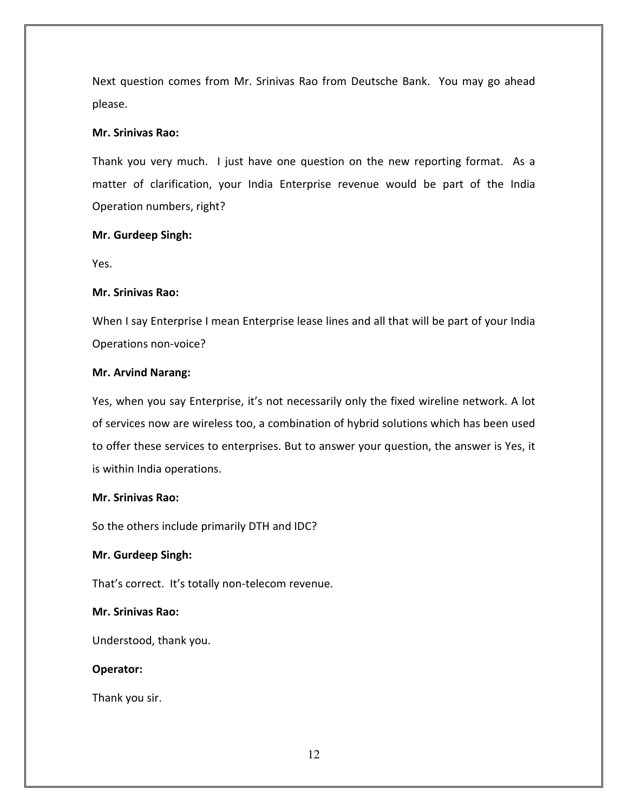Next question comes from Mr. Srinivas Rao from Deutsche Bank. You may go ahead please.

# Mr. Srinivas Rao:

Thank you very much. I just have one question on the new reporting format. As a matter of clarification, your India Enterprise revenue would be part of the India Operation numbers, right?

# Mr. Gurdeep Singh:

Yes.

# Mr. Srinivas Rao:

When I say Enterprise I mean Enterprise lease lines and all that will be part of your India Operations non-voice?

# Mr. Arvind Narang:

Yes, when you say Enterprise, it's not necessarily only the fixed wireline network. A lot of services now are wireless too, a combination of hybrid solutions which has been used to offer these services to enterprises. But to answer your question, the answer is Yes, it is within India operations.

## Mr. Srinivas Rao:

So the others include primarily DTH and IDC?

# Mr. Gurdeep Singh:

That's correct. It's totally non-telecom revenue.

# Mr. Srinivas Rao:

Understood, thank you.

# Operator:

Thank you sir.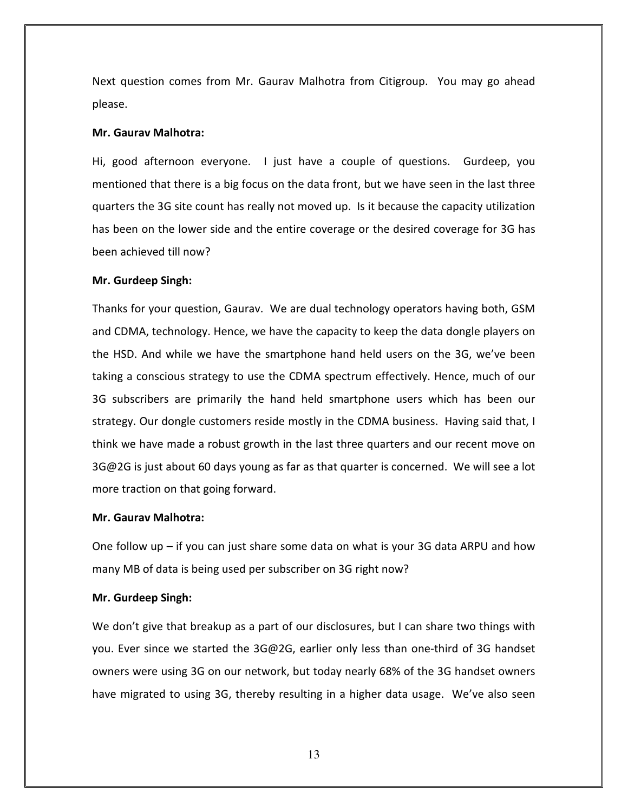Next question comes from Mr. Gaurav Malhotra from Citigroup. You may go ahead please.

#### Mr. Gaurav Malhotra:

Hi, good afternoon everyone. I just have a couple of questions. Gurdeep, you mentioned that there is a big focus on the data front, but we have seen in the last three quarters the 3G site count has really not moved up. Is it because the capacity utilization has been on the lower side and the entire coverage or the desired coverage for 3G has been achieved till now?

#### Mr. Gurdeep Singh:

Thanks for your question, Gaurav. We are dual technology operators having both, GSM and CDMA, technology. Hence, we have the capacity to keep the data dongle players on the HSD. And while we have the smartphone hand held users on the 3G, we've been taking a conscious strategy to use the CDMA spectrum effectively. Hence, much of our 3G subscribers are primarily the hand held smartphone users which has been our strategy. Our dongle customers reside mostly in the CDMA business. Having said that, I think we have made a robust growth in the last three quarters and our recent move on 3G@2G is just about 60 days young as far as that quarter is concerned. We will see a lot more traction on that going forward.

#### Mr. Gaurav Malhotra:

One follow up – if you can just share some data on what is your 3G data ARPU and how many MB of data is being used per subscriber on 3G right now?

## Mr. Gurdeep Singh:

We don't give that breakup as a part of our disclosures, but I can share two things with you. Ever since we started the 3G@2G, earlier only less than one-third of 3G handset owners were using 3G on our network, but today nearly 68% of the 3G handset owners have migrated to using 3G, thereby resulting in a higher data usage. We've also seen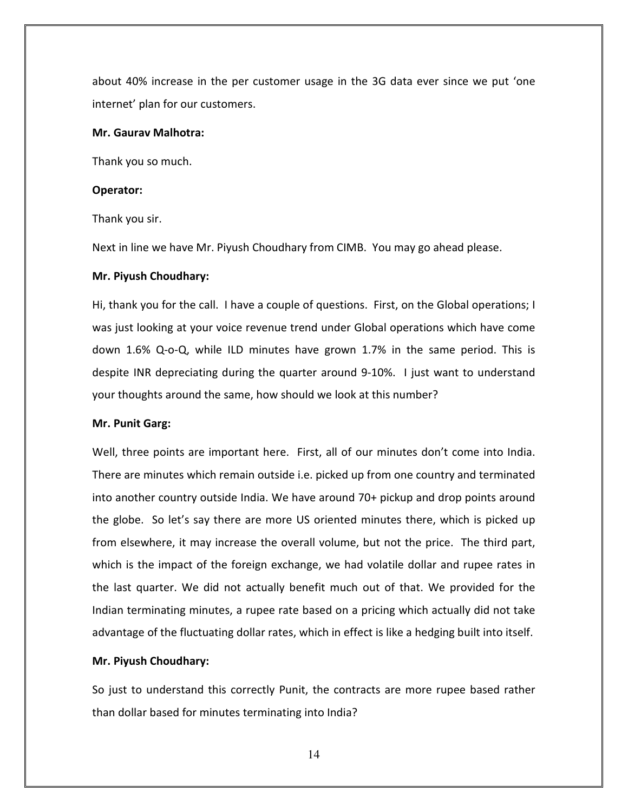about 40% increase in the per customer usage in the 3G data ever since we put 'one internet' plan for our customers.

#### Mr. Gaurav Malhotra:

Thank you so much.

#### Operator:

Thank you sir.

Next in line we have Mr. Piyush Choudhary from CIMB. You may go ahead please.

#### Mr. Piyush Choudhary:

Hi, thank you for the call. I have a couple of questions. First, on the Global operations; I was just looking at your voice revenue trend under Global operations which have come down 1.6% Q-o-Q, while ILD minutes have grown 1.7% in the same period. This is despite INR depreciating during the quarter around 9-10%. I just want to understand your thoughts around the same, how should we look at this number?

#### Mr. Punit Garg:

Well, three points are important here. First, all of our minutes don't come into India. There are minutes which remain outside i.e. picked up from one country and terminated into another country outside India. We have around 70+ pickup and drop points around the globe. So let's say there are more US oriented minutes there, which is picked up from elsewhere, it may increase the overall volume, but not the price. The third part, which is the impact of the foreign exchange, we had volatile dollar and rupee rates in the last quarter. We did not actually benefit much out of that. We provided for the Indian terminating minutes, a rupee rate based on a pricing which actually did not take advantage of the fluctuating dollar rates, which in effect is like a hedging built into itself.

#### Mr. Piyush Choudhary:

So just to understand this correctly Punit, the contracts are more rupee based rather than dollar based for minutes terminating into India?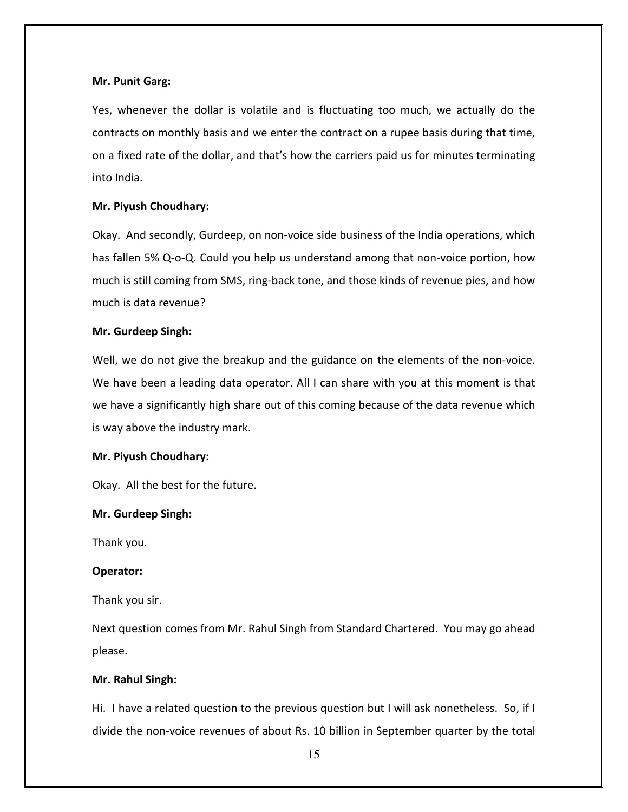#### Mr. Punit Garg:

Yes, whenever the dollar is volatile and is fluctuating too much, we actually do the contracts on monthly basis and we enter the contract on a rupee basis during that time, on a fixed rate of the dollar, and that's how the carriers paid us for minutes terminating into India.

#### Mr. Piyush Choudhary:

Okay. And secondly, Gurdeep, on non-voice side business of the India operations, which has fallen 5% Q-o-Q. Could you help us understand among that non-voice portion, how much is still coming from SMS, ring-back tone, and those kinds of revenue pies, and how much is data revenue?

#### Mr. Gurdeep Singh:

Well, we do not give the breakup and the guidance on the elements of the non-voice. We have been a leading data operator. All I can share with you at this moment is that we have a significantly high share out of this coming because of the data revenue which is way above the industry mark.

## Mr. Piyush Choudhary:

Okay. All the best for the future.

#### Mr. Gurdeep Singh:

Thank you.

#### Operator:

Thank you sir.

Next question comes from Mr. Rahul Singh from Standard Chartered. You may go ahead please.

#### Mr. Rahul Singh:

Hi. I have a related question to the previous question but I will ask nonetheless. So, if I divide the non-voice revenues of about Rs. 10 billion in September quarter by the total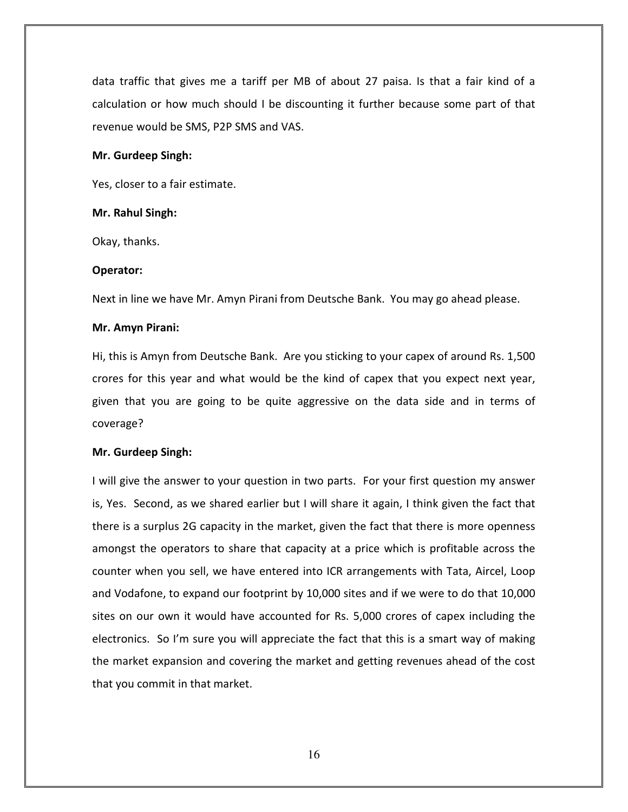data traffic that gives me a tariff per MB of about 27 paisa. Is that a fair kind of a calculation or how much should I be discounting it further because some part of that revenue would be SMS, P2P SMS and VAS.

#### Mr. Gurdeep Singh:

Yes, closer to a fair estimate.

#### Mr. Rahul Singh:

Okay, thanks.

#### Operator:

Next in line we have Mr. Amyn Pirani from Deutsche Bank. You may go ahead please.

#### Mr. Amyn Pirani:

Hi, this is Amyn from Deutsche Bank. Are you sticking to your capex of around Rs. 1,500 crores for this year and what would be the kind of capex that you expect next year, given that you are going to be quite aggressive on the data side and in terms of coverage?

## Mr. Gurdeep Singh:

I will give the answer to your question in two parts. For your first question my answer is, Yes. Second, as we shared earlier but I will share it again, I think given the fact that there is a surplus 2G capacity in the market, given the fact that there is more openness amongst the operators to share that capacity at a price which is profitable across the counter when you sell, we have entered into ICR arrangements with Tata, Aircel, Loop and Vodafone, to expand our footprint by 10,000 sites and if we were to do that 10,000 sites on our own it would have accounted for Rs. 5,000 crores of capex including the electronics. So I'm sure you will appreciate the fact that this is a smart way of making the market expansion and covering the market and getting revenues ahead of the cost that you commit in that market.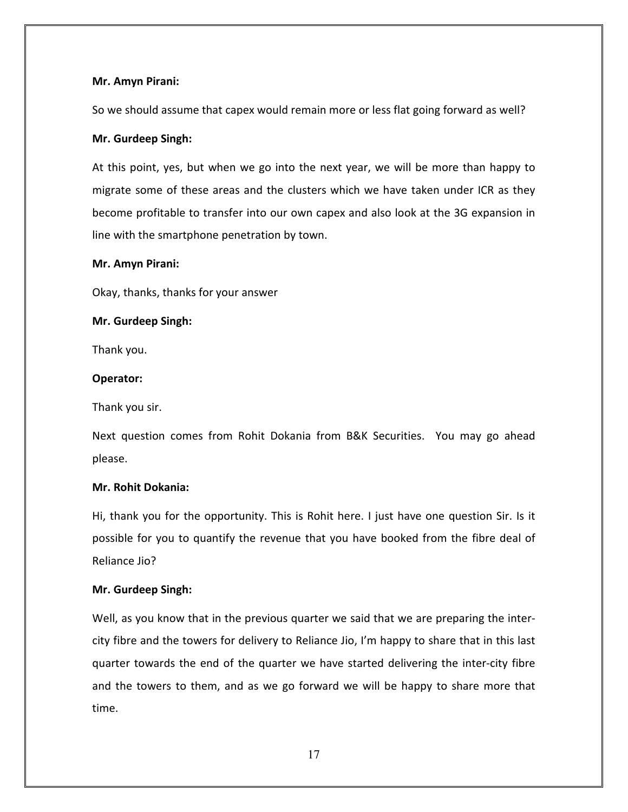## Mr. Amyn Pirani:

So we should assume that capex would remain more or less flat going forward as well?

# Mr. Gurdeep Singh:

At this point, yes, but when we go into the next year, we will be more than happy to migrate some of these areas and the clusters which we have taken under ICR as they become profitable to transfer into our own capex and also look at the 3G expansion in line with the smartphone penetration by town.

## Mr. Amyn Pirani:

Okay, thanks, thanks for your answer

# Mr. Gurdeep Singh:

Thank you.

# Operator:

Thank you sir.

Next question comes from Rohit Dokania from B&K Securities. You may go ahead please.

# Mr. Rohit Dokania:

Hi, thank you for the opportunity. This is Rohit here. I just have one question Sir. Is it possible for you to quantify the revenue that you have booked from the fibre deal of Reliance Jio?

# Mr. Gurdeep Singh:

Well, as you know that in the previous quarter we said that we are preparing the intercity fibre and the towers for delivery to Reliance Jio, I'm happy to share that in this last quarter towards the end of the quarter we have started delivering the inter-city fibre and the towers to them, and as we go forward we will be happy to share more that time.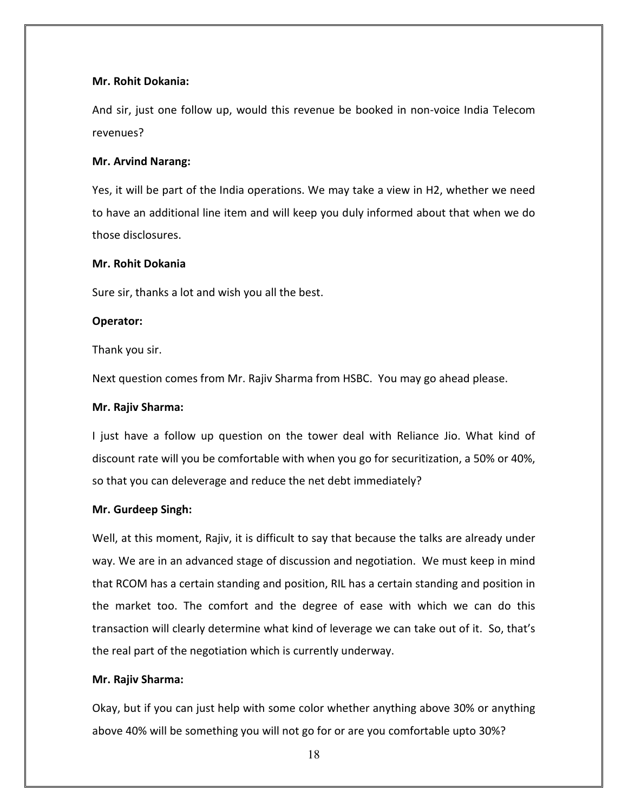## Mr. Rohit Dokania:

And sir, just one follow up, would this revenue be booked in non-voice India Telecom revenues?

#### Mr. Arvind Narang:

Yes, it will be part of the India operations. We may take a view in H2, whether we need to have an additional line item and will keep you duly informed about that when we do those disclosures.

#### Mr. Rohit Dokania

Sure sir, thanks a lot and wish you all the best.

#### Operator:

Thank you sir.

Next question comes from Mr. Rajiv Sharma from HSBC. You may go ahead please.

#### Mr. Rajiv Sharma:

I just have a follow up question on the tower deal with Reliance Jio. What kind of discount rate will you be comfortable with when you go for securitization, a 50% or 40%, so that you can deleverage and reduce the net debt immediately?

## Mr. Gurdeep Singh:

Well, at this moment, Rajiv, it is difficult to say that because the talks are already under way. We are in an advanced stage of discussion and negotiation. We must keep in mind that RCOM has a certain standing and position, RIL has a certain standing and position in the market too. The comfort and the degree of ease with which we can do this transaction will clearly determine what kind of leverage we can take out of it. So, that's the real part of the negotiation which is currently underway.

## Mr. Rajiv Sharma:

Okay, but if you can just help with some color whether anything above 30% or anything above 40% will be something you will not go for or are you comfortable upto 30%?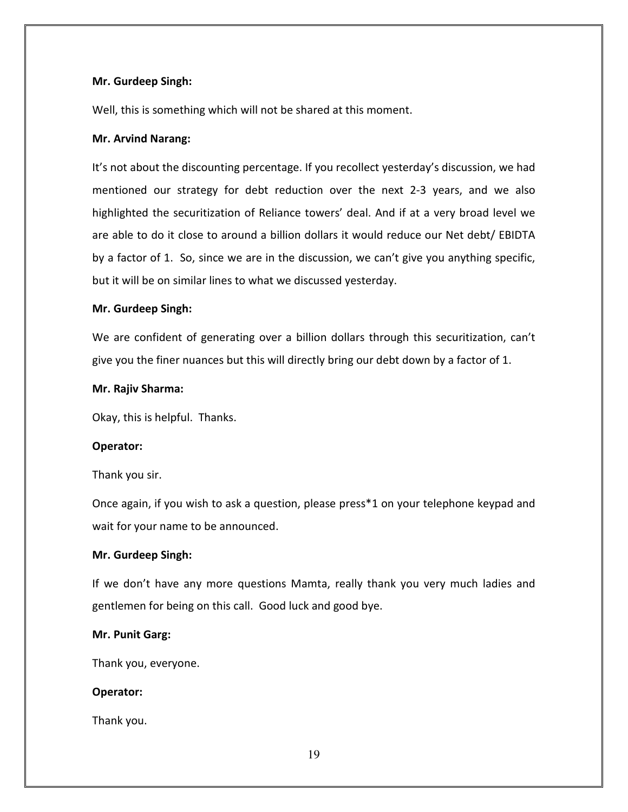# Mr. Gurdeep Singh:

Well, this is something which will not be shared at this moment.

# Mr. Arvind Narang:

It's not about the discounting percentage. If you recollect yesterday's discussion, we had mentioned our strategy for debt reduction over the next 2-3 years, and we also highlighted the securitization of Reliance towers' deal. And if at a very broad level we are able to do it close to around a billion dollars it would reduce our Net debt/ EBIDTA by a factor of 1. So, since we are in the discussion, we can't give you anything specific, but it will be on similar lines to what we discussed yesterday.

# Mr. Gurdeep Singh:

We are confident of generating over a billion dollars through this securitization, can't give you the finer nuances but this will directly bring our debt down by a factor of 1.

# Mr. Rajiv Sharma:

Okay, this is helpful. Thanks.

# Operator:

Thank you sir.

Once again, if you wish to ask a question, please press\*1 on your telephone keypad and wait for your name to be announced.

# Mr. Gurdeep Singh:

If we don't have any more questions Mamta, really thank you very much ladies and gentlemen for being on this call. Good luck and good bye.

## Mr. Punit Garg:

Thank you, everyone.

# Operator:

Thank you.